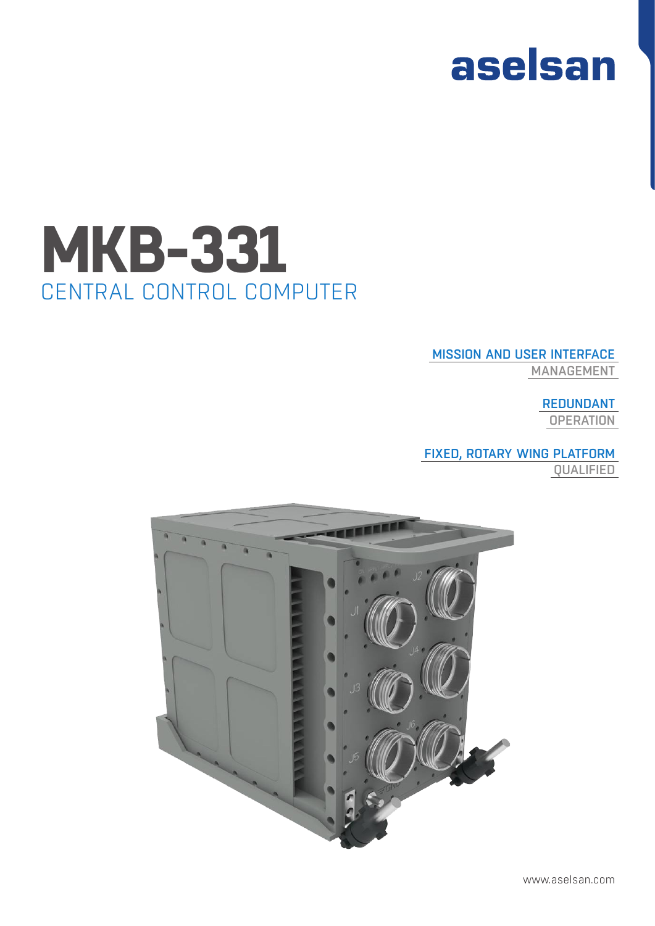

## CENTRAL CONTROL COMPUTER **MKB-331**

#### MISSION AND USER INTERFACE

MANAGEMENT

#### REDUNDANT

**OPERATION** 

## FIXED, ROTARY WING PLATFORM

QUALIFIED